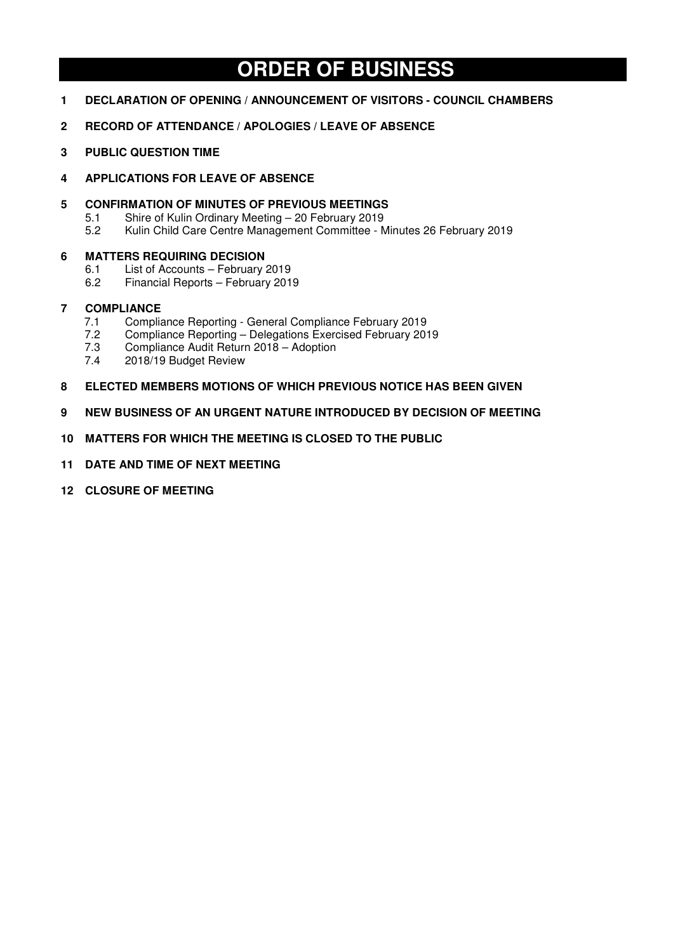# **ORDER OF BUSINESS**

- **1 DECLARATION OF OPENING / ANNOUNCEMENT OF VISITORS COUNCIL CHAMBERS**
- **2 RECORD OF ATTENDANCE / APOLOGIES / LEAVE OF ABSENCE**
- **3 PUBLIC QUESTION TIME**
- **4 APPLICATIONS FOR LEAVE OF ABSENCE**
- **5 CONFIRMATION OF MINUTES OF PREVIOUS MEETINGS**<br>5.1 Shire of Kulin Ordinary Meeting 20 February 2019
	- 5.1 Shire of Kulin Ordinary Meeting 20 February 2019<br>5.2 Kulin Child Care Centre Management Committee M
		- 5.2 Kulin Child Care Centre Management Committee Minutes 26 February 2019

#### **6 MATTERS REQUIRING DECISION**

- 6.1 List of Accounts February 2019
- 6.2 Financial Reports February 2019

#### **7 COMPLIANCE**

- 7.1 Compliance Reporting General Compliance February 2019<br>7.2 Compliance Reporting Delegations Exercised February 201
- 7.2 Compliance Reporting Delegations Exercised February 2019<br>7.3 Compliance Audit Return 2018 Adoption
- 7.3 Compliance Audit Return 2018 Adoption<br>7.4 2018/19 Budget Review
- 2018/19 Budget Review
- **8 ELECTED MEMBERS MOTIONS OF WHICH PREVIOUS NOTICE HAS BEEN GIVEN**
- **9 NEW BUSINESS OF AN URGENT NATURE INTRODUCED BY DECISION OF MEETING**
- **10 MATTERS FOR WHICH THE MEETING IS CLOSED TO THE PUBLIC**
- **11 DATE AND TIME OF NEXT MEETING**
- **12 CLOSURE OF MEETING**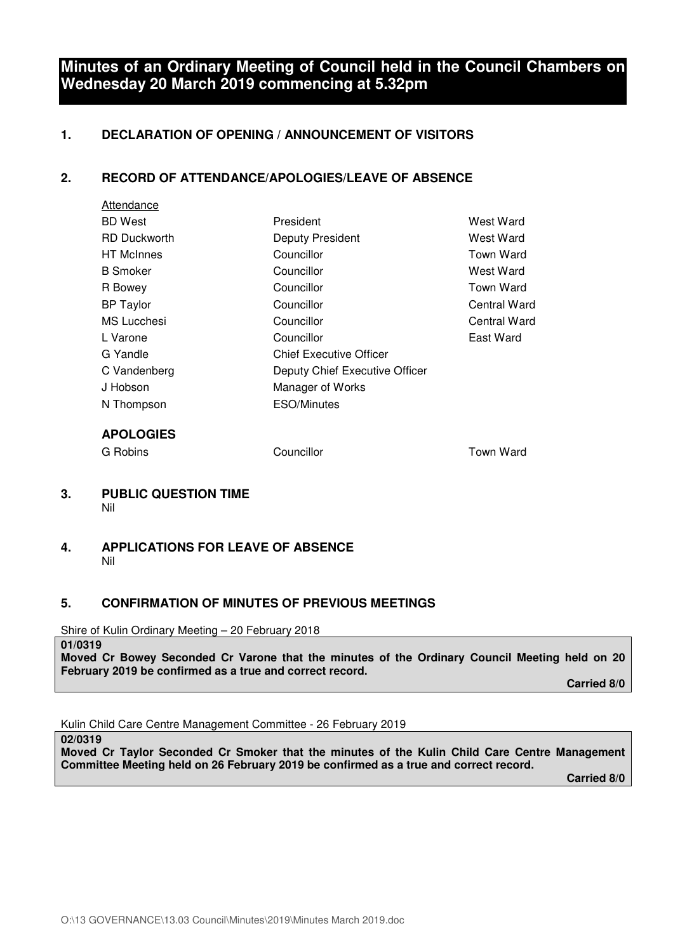## **Minutes of an Ordinary Meeting of Council held in the Council Chambers on Wednesday 20 March 2019 commencing at 5.32pm**

#### **1. DECLARATION OF OPENING / ANNOUNCEMENT OF VISITORS**

#### **2. RECORD OF ATTENDANCE/APOLOGIES/LEAVE OF ABSENCE**

| Attendance          |                                |              |
|---------------------|--------------------------------|--------------|
| <b>BD</b> West      | President                      | West Ward    |
| <b>RD Duckworth</b> | Deputy President               | West Ward    |
| <b>HT</b> McInnes   | Councillor                     | Town Ward    |
| <b>B</b> Smoker     | Councillor                     | West Ward    |
| R Bowey             | Councillor                     | Town Ward    |
| <b>BP</b> Taylor    | Councillor                     | Central Ward |
| <b>MS Lucchesi</b>  | Councillor                     | Central Ward |
| L Varone            | Councillor                     | East Ward    |
| G Yandle            | <b>Chief Executive Officer</b> |              |
| C Vandenberg        | Deputy Chief Executive Officer |              |
| J Hobson            | Manager of Works               |              |
| N Thompson          | ESO/Minutes                    |              |
| <b>APOLOGIES</b>    |                                |              |

G Robins **Councillor** Councillor **Town Ward** 

#### **3. PUBLIC QUESTION TIME**  Nil

#### **4. APPLICATIONS FOR LEAVE OF ABSENCE**  Nil

#### **5. CONFIRMATION OF MINUTES OF PREVIOUS MEETINGS**

Shire of Kulin Ordinary Meeting – 20 February 2018

**01/0319** 

**Moved Cr Bowey Seconded Cr Varone that the minutes of the Ordinary Council Meeting held on 20 February 2019 be confirmed as a true and correct record.** 

 **Carried 8/0** 

Kulin Child Care Centre Management Committee - 26 February 2019

**02/0319** 

**Moved Cr Taylor Seconded Cr Smoker that the minutes of the Kulin Child Care Centre Management Committee Meeting held on 26 February 2019 be confirmed as a true and correct record.** 

 **Carried 8/0**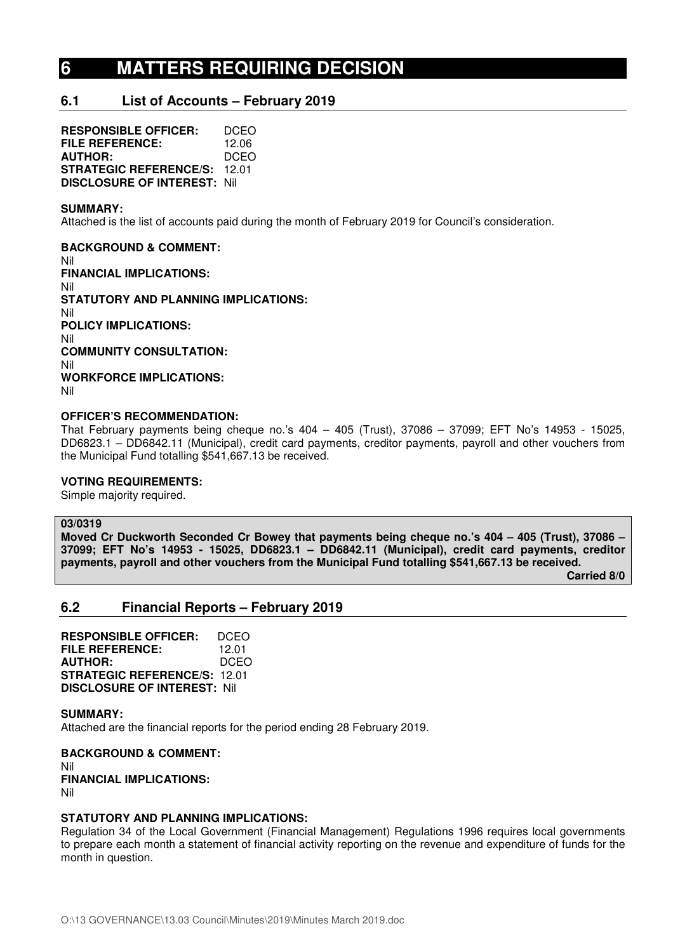# **6 MATTERS REQUIRING DECISION**

#### **6.1 List of Accounts – February 2019**

**RESPONSIBLE OFFICER:** DCEO **FILE REFERENCE:** 12.06<br>**AUTHOR:** DCEO **AUTHOR: STRATEGIC REFERENCE/S:** 12.01 **DISCLOSURE OF INTEREST:** Nil

#### **SUMMARY:**

Attached is the list of accounts paid during the month of February 2019 for Council's consideration.

**BACKGROUND & COMMENT:**  Nil **FINANCIAL IMPLICATIONS:**  Nil **STATUTORY AND PLANNING IMPLICATIONS:**  Nil **POLICY IMPLICATIONS:**  Nil **COMMUNITY CONSULTATION:**  Nil **WORKFORCE IMPLICATIONS:**  Nil

#### **OFFICER'S RECOMMENDATION:**

That February payments being cheque no.'s 404 – 405 (Trust), 37086 – 37099; EFT No's 14953 - 15025, DD6823.1 – DD6842.11 (Municipal), credit card payments, creditor payments, payroll and other vouchers from the Municipal Fund totalling \$541,667.13 be received.

#### **VOTING REQUIREMENTS:**

Simple majority required.

#### **03/0319**

**Moved Cr Duckworth Seconded Cr Bowey that payments being cheque no.'s 404 – 405 (Trust), 37086 – 37099; EFT No's 14953 - 15025, DD6823.1 – DD6842.11 (Municipal), credit card payments, creditor payments, payroll and other vouchers from the Municipal Fund totalling \$541,667.13 be received.** 

 **Carried 8/0** 

#### **6.2 Financial Reports – February 2019**

**RESPONSIBLE OFFICER:** DCEO **FILE REFERENCE:** 12.01 **AUTHOR:** DCEO **STRATEGIC REFERENCE/S:** 12.01 **DISCLOSURE OF INTEREST:** Nil

#### **SUMMARY:**

Attached are the financial reports for the period ending 28 February 2019.

**BACKGROUND & COMMENT:**  Nil **FINANCIAL IMPLICATIONS:**  Nil

#### **STATUTORY AND PLANNING IMPLICATIONS:**

Regulation 34 of the Local Government (Financial Management) Regulations 1996 requires local governments to prepare each month a statement of financial activity reporting on the revenue and expenditure of funds for the month in question.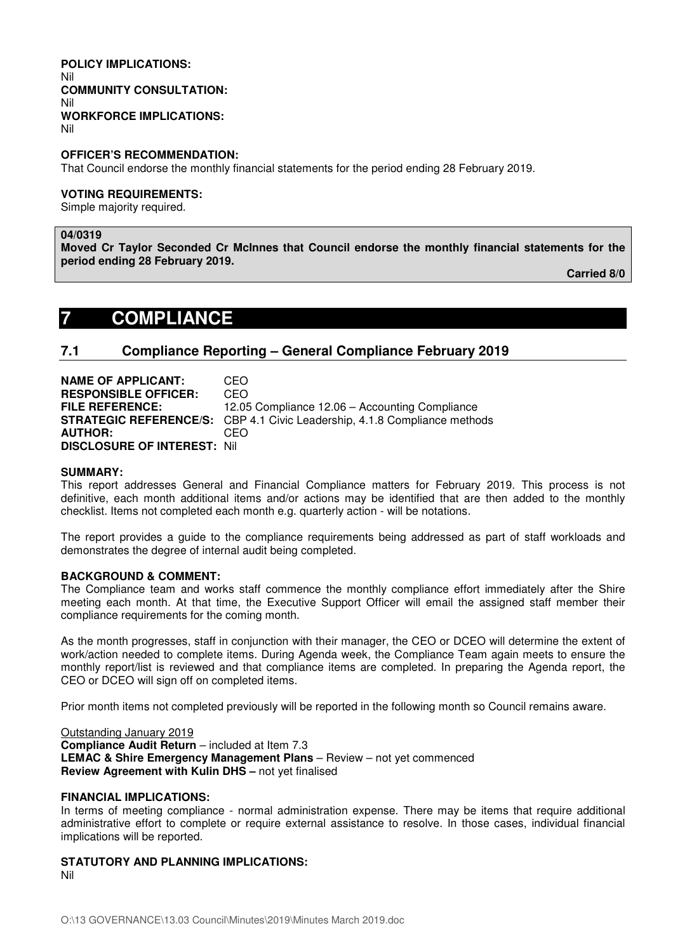#### **POLICY IMPLICATIONS:**  Nil **COMMUNITY CONSULTATION:**  Nil **WORKFORCE IMPLICATIONS:**  Nil

**OFFICER'S RECOMMENDATION:** 

That Council endorse the monthly financial statements for the period ending 28 February 2019.

#### **VOTING REQUIREMENTS:**

Simple majority required.

#### **04/0319**

**Moved Cr Taylor Seconded Cr McInnes that Council endorse the monthly financial statements for the period ending 28 February 2019.** 

**Carried 8/0** 

## **7 COMPLIANCE**

#### **7.1 Compliance Reporting – General Compliance February 2019**

**NAME OF APPLICANT:** CEO **RESPONSIBLE OFFICER:** CEO **FILE REFERENCE:** 12.05 Compliance 12.06 – Accounting Compliance **STRATEGIC REFERENCE/S:** CBP 4.1 Civic Leadership, 4.1.8 Compliance methods **AUTHOR:** CEO **DISCLOSURE OF INTEREST:** Nil

#### **SUMMARY:**

This report addresses General and Financial Compliance matters for February 2019. This process is not definitive, each month additional items and/or actions may be identified that are then added to the monthly checklist. Items not completed each month e.g. quarterly action - will be notations.

The report provides a guide to the compliance requirements being addressed as part of staff workloads and demonstrates the degree of internal audit being completed.

#### **BACKGROUND & COMMENT:**

The Compliance team and works staff commence the monthly compliance effort immediately after the Shire meeting each month. At that time, the Executive Support Officer will email the assigned staff member their compliance requirements for the coming month.

As the month progresses, staff in conjunction with their manager, the CEO or DCEO will determine the extent of work/action needed to complete items. During Agenda week, the Compliance Team again meets to ensure the monthly report/list is reviewed and that compliance items are completed. In preparing the Agenda report, the CEO or DCEO will sign off on completed items.

Prior month items not completed previously will be reported in the following month so Council remains aware.

Outstanding January 2019 **Compliance Audit Return** – included at Item 7.3 **LEMAC & Shire Emergency Management Plans** – Review – not yet commenced **Review Agreement with Kulin DHS –** not yet finalised

#### **FINANCIAL IMPLICATIONS:**

In terms of meeting compliance - normal administration expense. There may be items that require additional administrative effort to complete or require external assistance to resolve. In those cases, individual financial implications will be reported.

#### **STATUTORY AND PLANNING IMPLICATIONS:**  Nil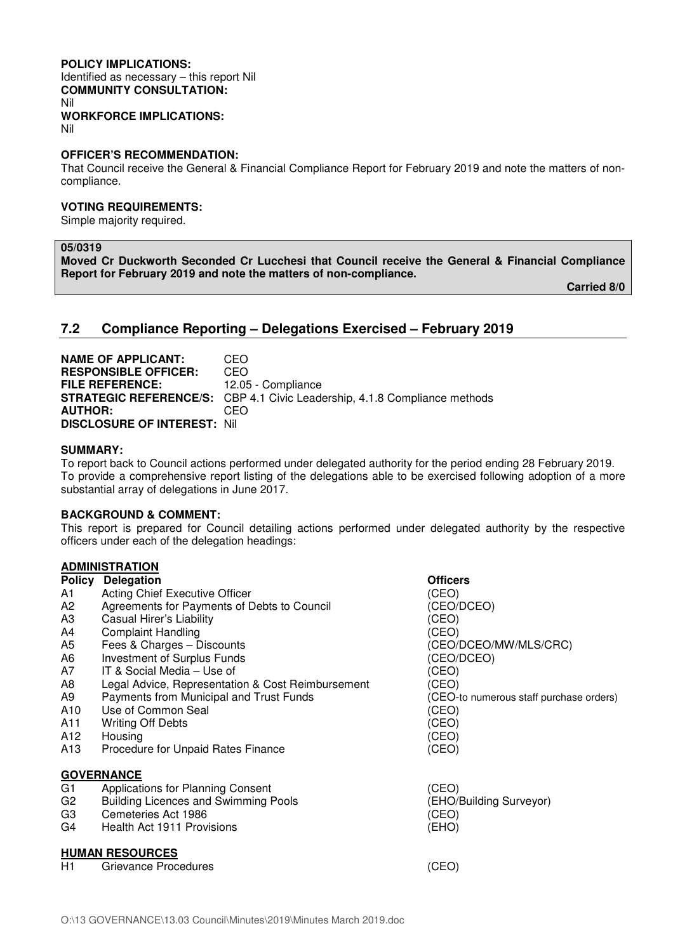#### **POLICY IMPLICATIONS:**

Identified as necessary – this report Nil **COMMUNITY CONSULTATION:**  Nil **WORKFORCE IMPLICATIONS:** 

Nil

#### **OFFICER'S RECOMMENDATION:**

That Council receive the General & Financial Compliance Report for February 2019 and note the matters of noncompliance.

#### **VOTING REQUIREMENTS:**

Simple majority required.

#### **05/0319**

**Moved Cr Duckworth Seconded Cr Lucchesi that Council receive the General & Financial Compliance Report for February 2019 and note the matters of non-compliance.** 

 **Carried 8/0** 

#### **7.2 Compliance Reporting – Delegations Exercised – February 2019**

**NAME OF APPLICANT:** CEO **RESPONSIBLE OFFICER:** CEO **FILE REFERENCE:** 12.05 - Compliance **STRATEGIC REFERENCE/S:** CBP 4.1 Civic Leadership, 4.1.8 Compliance methods **AUTHOR:** CEO **DISCLOSURE OF INTEREST:** Nil

#### **SUMMARY:**

To report back to Council actions performed under delegated authority for the period ending 28 February 2019. To provide a comprehensive report listing of the delegations able to be exercised following adoption of a more substantial array of delegations in June 2017.

#### **BACKGROUND & COMMENT:**

This report is prepared for Council detailing actions performed under delegated authority by the respective officers under each of the delegation headings:

#### **ADMINISTRATION**

|                        | ~~~~~~~~~~~~                                      |                                         |  |
|------------------------|---------------------------------------------------|-----------------------------------------|--|
| <b>Policy</b>          | <b>Delegation</b>                                 | <b>Officers</b>                         |  |
| A1                     | Acting Chief Executive Officer                    | (CEO)                                   |  |
| A <sub>2</sub>         | Agreements for Payments of Debts to Council       | (CEO/DCEO)                              |  |
| A <sub>3</sub>         | Casual Hirer's Liability                          | (CEO)                                   |  |
| A4                     | <b>Complaint Handling</b>                         | (CEO)                                   |  |
| A5                     | Fees & Charges - Discounts                        | (CEO/DCEO/MW/MLS/CRC)                   |  |
| A6                     | <b>Investment of Surplus Funds</b>                | (CEO/DCEO)                              |  |
| A7                     | IT & Social Media – Use of                        | (CEO)                                   |  |
| A8                     | Legal Advice, Representation & Cost Reimbursement | (CEO)                                   |  |
| A9                     | Payments from Municipal and Trust Funds           | (CEO-to numerous staff purchase orders) |  |
| A10                    | Use of Common Seal                                | (CEO)                                   |  |
| A11                    | <b>Writing Off Debts</b>                          | (CEO)                                   |  |
| A12                    | Housing                                           | (CEO)                                   |  |
| A13                    | Procedure for Unpaid Rates Finance                | (CEO)                                   |  |
|                        | <b>GOVERNANCE</b>                                 |                                         |  |
| G <sub>1</sub>         | Applications for Planning Consent                 | (CEO)                                   |  |
| G <sub>2</sub>         | <b>Building Licences and Swimming Pools</b>       | (EHO/Building Surveyor)                 |  |
| G <sub>3</sub>         | Cemeteries Act 1986                               | (CEO)                                   |  |
| G4                     | Health Act 1911 Provisions                        | (EHO)                                   |  |
| <b>HUMAN RESOURCES</b> |                                                   |                                         |  |
| H1                     | Grievance Procedures                              | (CEO)                                   |  |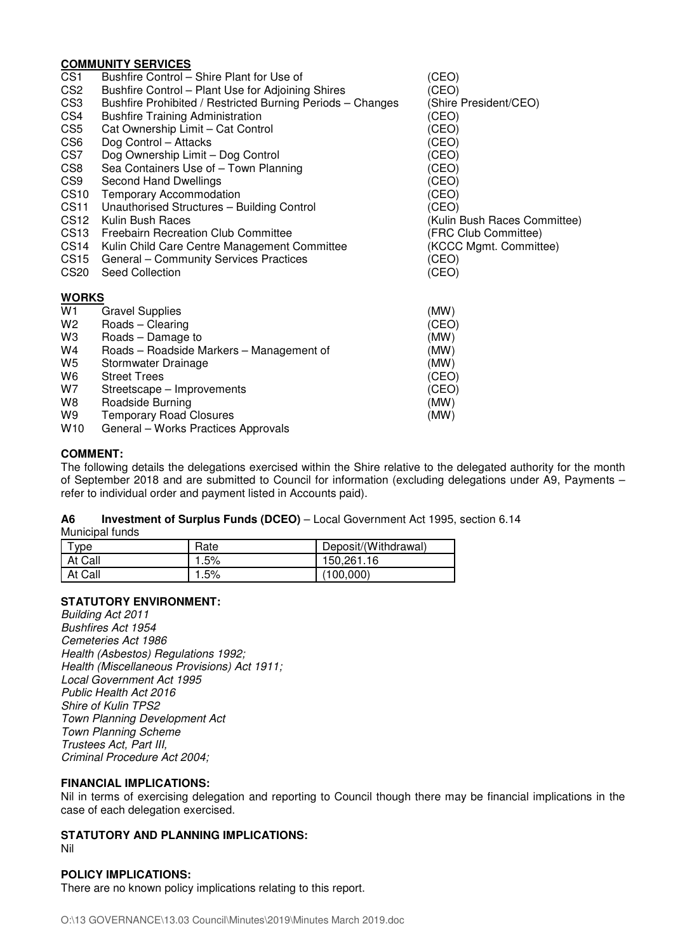#### **COMMUNITY SERVICES**

|                  | <u> JUMMUNI I JERRIJEJ</u>                                 |                              |
|------------------|------------------------------------------------------------|------------------------------|
| CS <sub>1</sub>  | Bushfire Control – Shire Plant for Use of                  | (CEO)                        |
| CS <sub>2</sub>  | Bushfire Control - Plant Use for Adjoining Shires          | (CEO)                        |
| CS <sub>3</sub>  | Bushfire Prohibited / Restricted Burning Periods - Changes | (Shire President/CEO)        |
| CS4              | <b>Bushfire Training Administration</b>                    | (CEO)                        |
| CS <sub>5</sub>  | Cat Ownership Limit - Cat Control                          | (CEO)                        |
| CS <sub>6</sub>  | Dog Control - Attacks                                      | (CEO)                        |
| CS7              | Dog Ownership Limit - Dog Control                          | (CEO)                        |
| CS8              | Sea Containers Use of - Town Planning                      | (CEO)                        |
| CS9              | Second Hand Dwellings                                      | (CEO)                        |
| <b>CS10</b>      | <b>Temporary Accommodation</b>                             | (CEO)                        |
| <b>CS11</b>      | Unauthorised Structures - Building Control                 | (CEO)                        |
| CS <sub>12</sub> | Kulin Bush Races                                           | (Kulin Bush Races Committee) |
| CS <sub>13</sub> | Freebairn Recreation Club Committee                        | (FRC Club Committee)         |
| CS <sub>14</sub> | Kulin Child Care Centre Management Committee               | (KCCC Mgmt. Committee)       |
| CS <sub>15</sub> | General - Community Services Practices                     | (CEO)                        |
| CS <sub>20</sub> | <b>Seed Collection</b>                                     | (CEO)                        |
| <b>WORKS</b>     |                                                            |                              |
| W1               | <b>Gravel Supplies</b>                                     | (MW)                         |
| W <sub>2</sub>   | Roads - Clearing                                           | (CEO)                        |
| W <sub>3</sub>   | Roads - Damage to                                          | (MW)                         |
| W4               | Roads - Roadside Markers - Management of                   | (MW)                         |
| W <sub>5</sub>   | Stormwater Drainage                                        | (MW)                         |
| W6               | <b>Street Trees</b>                                        | (CEO)                        |
| W7               | Streetscape - Improvements                                 | (CEO)                        |
| W8               | Roadside Burning                                           | (MW)                         |
| W9               | <b>Temporary Road Closures</b>                             | (MW)                         |
| W10              | General - Works Practices Approvals                        |                              |

#### **COMMENT:**

The following details the delegations exercised within the Shire relative to the delegated authority for the month of September 2018 and are submitted to Council for information (excluding delegations under A9, Payments – refer to individual order and payment listed in Accounts paid).

## **A6 Investment of Surplus Funds (DCEO)** – Local Government Act 1995, section 6.14

Municipal funds

| <b>vpe</b> | Rate | Deposit/(Withdrawal) |
|------------|------|----------------------|
| At Call    | .5%  | 150,261.16           |
| At Call    | .5%  | (100,000)            |

#### **STATUTORY ENVIRONMENT:**

*Building Act 2011 Bushfires Act 1954 Cemeteries Act 1986 Health (Asbestos) Regulations 1992; Health (Miscellaneous Provisions) Act 1911; Local Government Act 1995 Public Health Act 2016 Shire of Kulin TPS2 Town Planning Development Act Town Planning Scheme Trustees Act, Part III, Criminal Procedure Act 2004;* 

#### **FINANCIAL IMPLICATIONS:**

Nil in terms of exercising delegation and reporting to Council though there may be financial implications in the case of each delegation exercised.

#### **STATUTORY AND PLANNING IMPLICATIONS:**

#### Nil

### **POLICY IMPLICATIONS:**

There are no known policy implications relating to this report.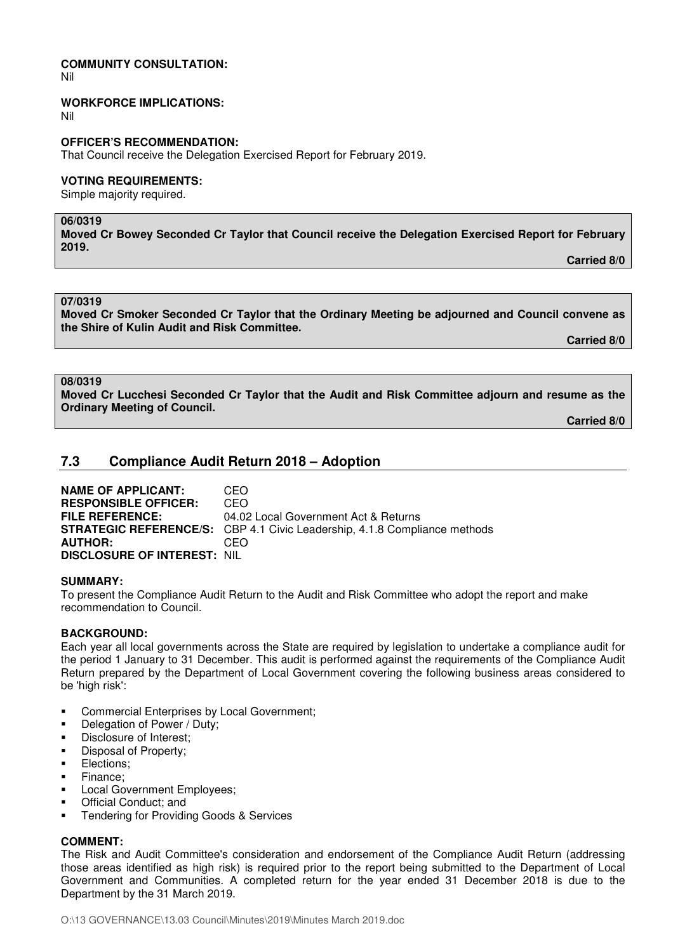#### **COMMUNITY CONSULTATION:**

Nil

#### **WORKFORCE IMPLICATIONS:**

Nil

#### **OFFICER'S RECOMMENDATION:**

That Council receive the Delegation Exercised Report for February 2019.

#### **VOTING REQUIREMENTS:**

Simple majority required.

#### **06/0319**

**Moved Cr Bowey Seconded Cr Taylor that Council receive the Delegation Exercised Report for February 2019.** 

 **Carried 8/0** 

**07/0319** 

**Moved Cr Smoker Seconded Cr Taylor that the Ordinary Meeting be adjourned and Council convene as the Shire of Kulin Audit and Risk Committee.** 

**Carried 8/0** 

#### **08/0319**

**Moved Cr Lucchesi Seconded Cr Taylor that the Audit and Risk Committee adjourn and resume as the Ordinary Meeting of Council.** 

**Carried 8/0** 

#### **7.3 Compliance Audit Return 2018 – Adoption**

**NAME OF APPLICANT:** CEO **RESPONSIBLE OFFICER:** CEO **FILE REFERENCE:** 04.02 Local Government Act & Returns **STRATEGIC REFERENCE/S:** CBP 4.1 Civic Leadership, 4.1.8 Compliance methods **AUTHOR:** CEO **DISCLOSURE OF INTEREST:** NIL

#### **SUMMARY:**

To present the Compliance Audit Return to the Audit and Risk Committee who adopt the report and make recommendation to Council.

#### **BACKGROUND:**

Each year all local governments across the State are required by legislation to undertake a compliance audit for the period 1 January to 31 December. This audit is performed against the requirements of the Compliance Audit Return prepared by the Department of Local Government covering the following business areas considered to be 'high risk':

- Commercial Enterprises by Local Government;
- Delegation of Power / Duty;
- Disclosure of Interest;
- Disposal of Property;
- **Elections:**
- Finance:
- Local Government Employees;
- **•** Official Conduct: and
- Tendering for Providing Goods & Services

#### **COMMENT:**

The Risk and Audit Committee's consideration and endorsement of the Compliance Audit Return (addressing those areas identified as high risk) is required prior to the report being submitted to the Department of Local Government and Communities. A completed return for the year ended 31 December 2018 is due to the Department by the 31 March 2019.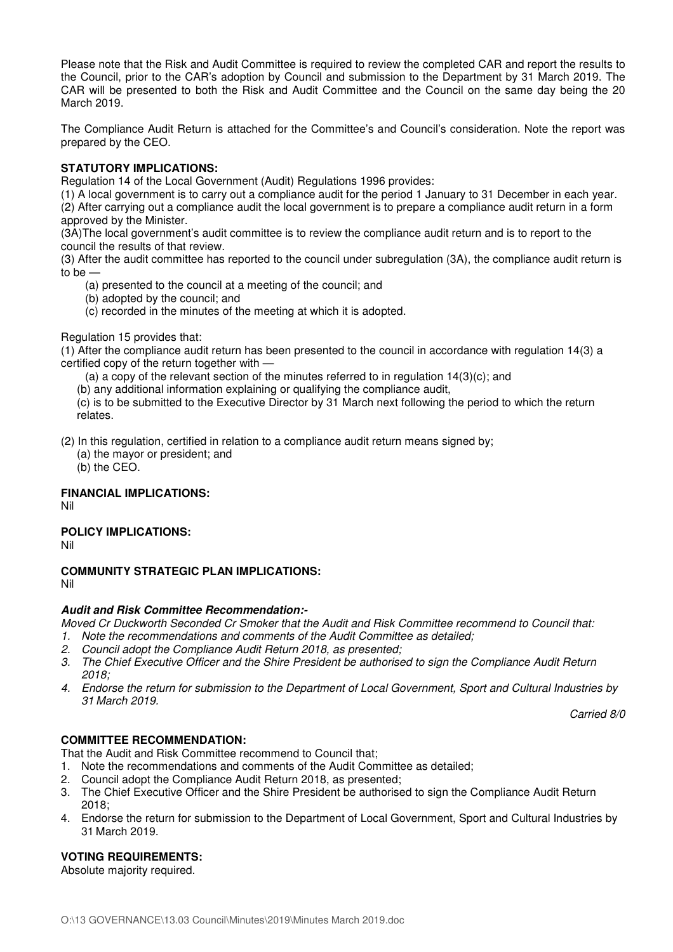Please note that the Risk and Audit Committee is required to review the completed CAR and report the results to the Council, prior to the CAR's adoption by Council and submission to the Department by 31 March 2019. The CAR will be presented to both the Risk and Audit Committee and the Council on the same day being the 20 March 2019.

The Compliance Audit Return is attached for the Committee's and Council's consideration. Note the report was prepared by the CEO.

#### **STATUTORY IMPLICATIONS:**

Regulation 14 of the Local Government (Audit) Regulations 1996 provides:

(1) A local government is to carry out a compliance audit for the period 1 January to 31 December in each year. (2) After carrying out a compliance audit the local government is to prepare a compliance audit return in a form approved by the Minister.

(3A)The local government's audit committee is to review the compliance audit return and is to report to the council the results of that review.

(3) After the audit committee has reported to the council under subregulation (3A), the compliance audit return is to be —

- (a) presented to the council at a meeting of the council; and
- (b) adopted by the council; and
- (c) recorded in the minutes of the meeting at which it is adopted.

#### Regulation 15 provides that:

(1) After the compliance audit return has been presented to the council in accordance with regulation 14(3) a certified copy of the return together with —

(a) a copy of the relevant section of the minutes referred to in regulation  $14(3)(c)$ ; and

(b) any additional information explaining or qualifying the compliance audit,

(c) is to be submitted to the Executive Director by 31 March next following the period to which the return relates.

(2) In this regulation, certified in relation to a compliance audit return means signed by;

(a) the mayor or president; and

(b) the CEO.

#### **FINANCIAL IMPLICATIONS:**

Nil

#### **POLICY IMPLICATIONS:**

Nil

#### **COMMUNITY STRATEGIC PLAN IMPLICATIONS:**

Nil

#### **Audit and Risk Committee Recommendation:-**

*Moved Cr Duckworth Seconded Cr Smoker that the Audit and Risk Committee recommend to Council that:* 

- *1. Note the recommendations and comments of the Audit Committee as detailed;*
- *2. Council adopt the Compliance Audit Return 2018, as presented;*
- *3. The Chief Executive Officer and the Shire President be authorised to sign the Compliance Audit Return 2018;*
- *4. Endorse the return for submission to the Department of Local Government, Sport and Cultural Industries by 31 March 2019.*

*Carried 8/0* 

#### **COMMITTEE RECOMMENDATION:**

That the Audit and Risk Committee recommend to Council that;

- 1. Note the recommendations and comments of the Audit Committee as detailed;
- 2. Council adopt the Compliance Audit Return 2018, as presented;
- 3. The Chief Executive Officer and the Shire President be authorised to sign the Compliance Audit Return 2018;
- 4. Endorse the return for submission to the Department of Local Government, Sport and Cultural Industries by 31 March 2019.

#### **VOTING REQUIREMENTS:**

Absolute majority required.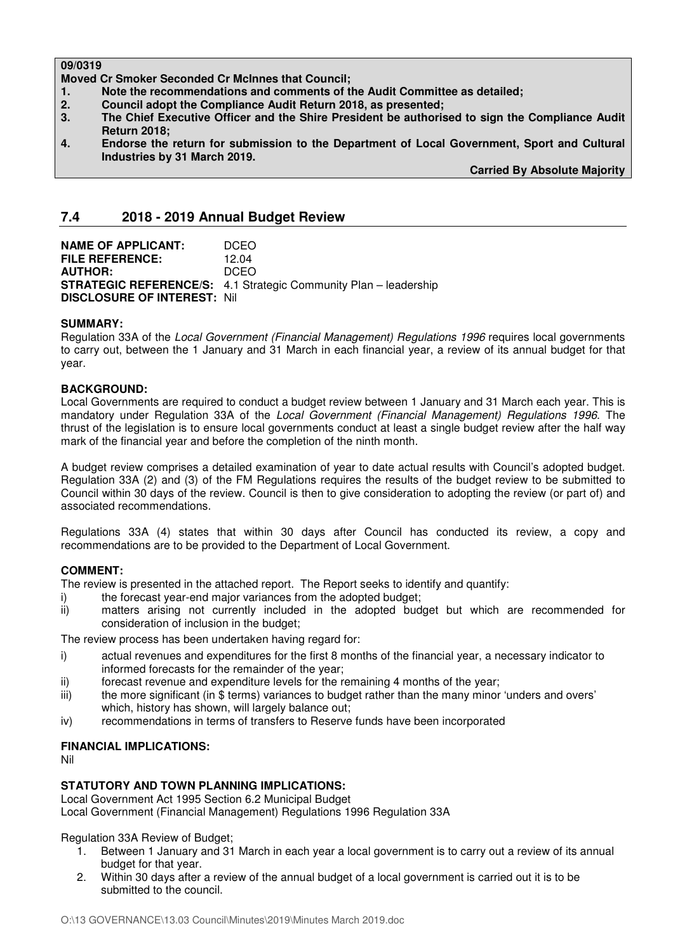#### **09/0319**

**Moved Cr Smoker Seconded Cr McInnes that Council;** 

- **1. Note the recommendations and comments of the Audit Committee as detailed;**
- **2. Council adopt the Compliance Audit Return 2018, as presented;**
- **3. The Chief Executive Officer and the Shire President be authorised to sign the Compliance Audit Return 2018;**
- **4. Endorse the return for submission to the Department of Local Government, Sport and Cultural Industries by 31 March 2019.**

**Carried By Absolute Majority** 

#### **7.4 2018 - 2019 Annual Budget Review**

**NAME OF APPLICANT: DCEO FILE REFERENCE:** 12.04 **AUTHOR:** DCEO **STRATEGIC REFERENCE/S:** 4.1 Strategic Community Plan – leadership **DISCLOSURE OF INTEREST:** Nil

#### **SUMMARY:**

Regulation 33A of the *Local Government (Financial Management) Regulations 1996* requires local governments to carry out, between the 1 January and 31 March in each financial year, a review of its annual budget for that year.

#### **BACKGROUND:**

Local Governments are required to conduct a budget review between 1 January and 31 March each year. This is mandatory under Regulation 33A of the *Local Government (Financial Management) Regulations 1996*. The thrust of the legislation is to ensure local governments conduct at least a single budget review after the half way mark of the financial year and before the completion of the ninth month.

A budget review comprises a detailed examination of year to date actual results with Council's adopted budget. Regulation 33A (2) and (3) of the FM Regulations requires the results of the budget review to be submitted to Council within 30 days of the review. Council is then to give consideration to adopting the review (or part of) and associated recommendations.

Regulations 33A (4) states that within 30 days after Council has conducted its review, a copy and recommendations are to be provided to the Department of Local Government.

#### **COMMENT:**

The review is presented in the attached report. The Report seeks to identify and quantify:

- i) the forecast year-end major variances from the adopted budget;
- ii) matters arising not currently included in the adopted budget but which are recommended for consideration of inclusion in the budget;

The review process has been undertaken having regard for:

- i) actual revenues and expenditures for the first 8 months of the financial year, a necessary indicator to informed forecasts for the remainder of the year;
- ii) forecast revenue and expenditure levels for the remaining 4 months of the year;
- iii) the more significant (in \$ terms) variances to budget rather than the many minor 'unders and overs' which, history has shown, will largely balance out;
- iv) recommendations in terms of transfers to Reserve funds have been incorporated

#### **FINANCIAL IMPLICATIONS:**

Nil

#### **STATUTORY AND TOWN PLANNING IMPLICATIONS:**

Local Government Act 1995 Section 6.2 Municipal Budget

Local Government (Financial Management) Regulations 1996 Regulation 33A

Regulation 33A Review of Budget;

- 1. Between 1 January and 31 March in each year a local government is to carry out a review of its annual budget for that year.
- 2. Within 30 days after a review of the annual budget of a local government is carried out it is to be submitted to the council.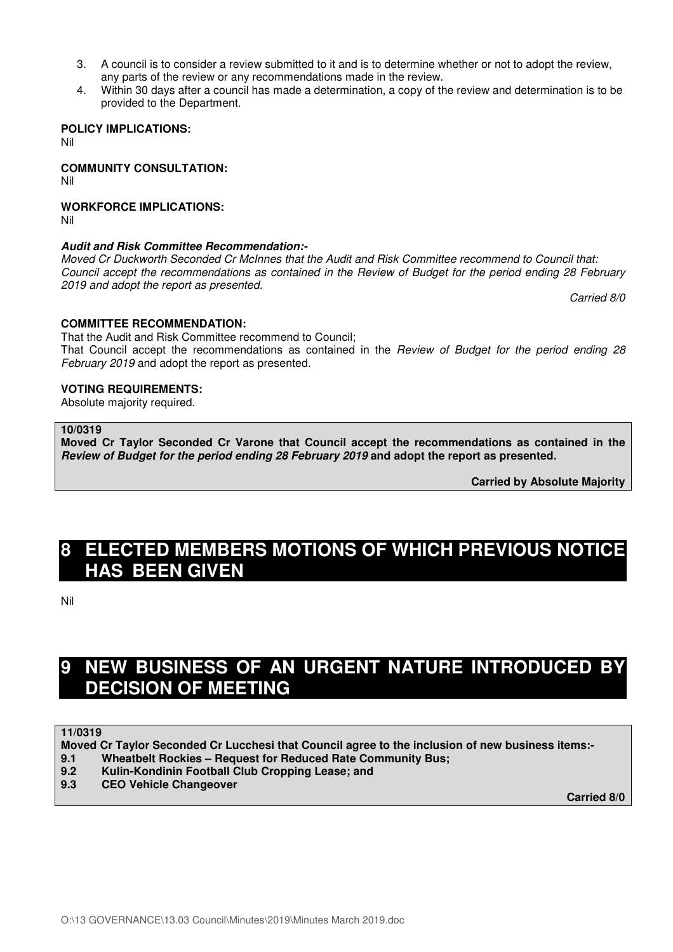- 3. A council is to consider a review submitted to it and is to determine whether or not to adopt the review, any parts of the review or any recommendations made in the review.
- 4. Within 30 days after a council has made a determination, a copy of the review and determination is to be provided to the Department.

**POLICY IMPLICATIONS:** Nil

**COMMUNITY CONSULTATION:** Nil

#### **WORKFORCE IMPLICATIONS:**

Nil

#### **Audit and Risk Committee Recommendation:-**

*Moved Cr Duckworth Seconded Cr McInnes that the Audit and Risk Committee recommend to Council that: Council accept the recommendations as contained in the Review of Budget for the period ending 28 February 2019 and adopt the report as presented.* 

*Carried 8/0* 

#### **COMMITTEE RECOMMENDATION:**

That the Audit and Risk Committee recommend to Council; That Council accept the recommendations as contained in the *Review of Budget for the period ending 28 February 2019* and adopt the report as presented.

#### **VOTING REQUIREMENTS:**

Absolute majority required.

#### **10/0319**

**Moved Cr Taylor Seconded Cr Varone that Council accept the recommendations as contained in the Review of Budget for the period ending 28 February 2019 and adopt the report as presented.** 

**Carried by Absolute Majority** 

# **8 ELECTED MEMBERS MOTIONS OF WHICH PREVIOUS NOTICE HAS BEEN GIVEN**

Nil

# **9 NEW BUSINESS OF AN URGENT NATURE INTRODUCED BY DECISION OF MEETING**

**11/0319** 

**Moved Cr Taylor Seconded Cr Lucchesi that Council agree to the inclusion of new business items:-** 

- **9.1 Wheatbelt Rockies Request for Reduced Rate Community Bus;**
- **9.2 Kulin-Kondinin Football Club Cropping Lease; and**
- **9.3 CEO Vehicle Changeover**

**Carried 8/0**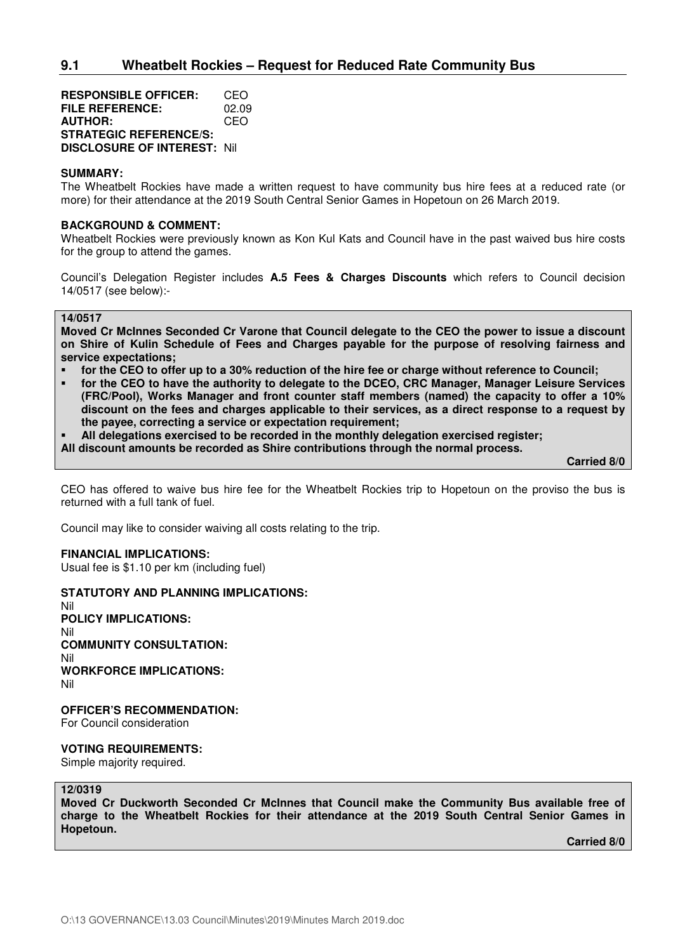**RESPONSIBLE OFFICER:** CEO **FILE REFERENCE:** 02.09 **AUTHOR:** CEO **STRATEGIC REFERENCE/S: DISCLOSURE OF INTEREST:** Nil

#### **SUMMARY:**

The Wheatbelt Rockies have made a written request to have community bus hire fees at a reduced rate (or more) for their attendance at the 2019 South Central Senior Games in Hopetoun on 26 March 2019.

#### **BACKGROUND & COMMENT:**

Wheatbelt Rockies were previously known as Kon Kul Kats and Council have in the past waived bus hire costs for the group to attend the games.

Council's Delegation Register includes **A.5 Fees & Charges Discounts** which refers to Council decision 14/0517 (see below):-

#### **14/0517**

**Moved Cr McInnes Seconded Cr Varone that Council delegate to the CEO the power to issue a discount on Shire of Kulin Schedule of Fees and Charges payable for the purpose of resolving fairness and service expectations;** 

- **for the CEO to offer up to a 30% reduction of the hire fee or charge without reference to Council;**
- **for the CEO to have the authority to delegate to the DCEO, CRC Manager, Manager Leisure Services (FRC/Pool), Works Manager and front counter staff members (named) the capacity to offer a 10% discount on the fees and charges applicable to their services, as a direct response to a request by the payee, correcting a service or expectation requirement;**
- **All delegations exercised to be recorded in the monthly delegation exercised register;**
- **All discount amounts be recorded as Shire contributions through the normal process.**

 **Carried 8/0** 

CEO has offered to waive bus hire fee for the Wheatbelt Rockies trip to Hopetoun on the proviso the bus is returned with a full tank of fuel.

Council may like to consider waiving all costs relating to the trip.

#### **FINANCIAL IMPLICATIONS:**

Usual fee is \$1.10 per km (including fuel)

#### **STATUTORY AND PLANNING IMPLICATIONS:**

Nil **POLICY IMPLICATIONS:**  Nil **COMMUNITY CONSULTATION:**  Nil **WORKFORCE IMPLICATIONS:**  Nil

**OFFICER'S RECOMMENDATION:** 

For Council consideration

#### **VOTING REQUIREMENTS:**

Simple majority required.

#### **12/0319**

**Moved Cr Duckworth Seconded Cr McInnes that Council make the Community Bus available free of charge to the Wheatbelt Rockies for their attendance at the 2019 South Central Senior Games in Hopetoun.** 

**Carried 8/0**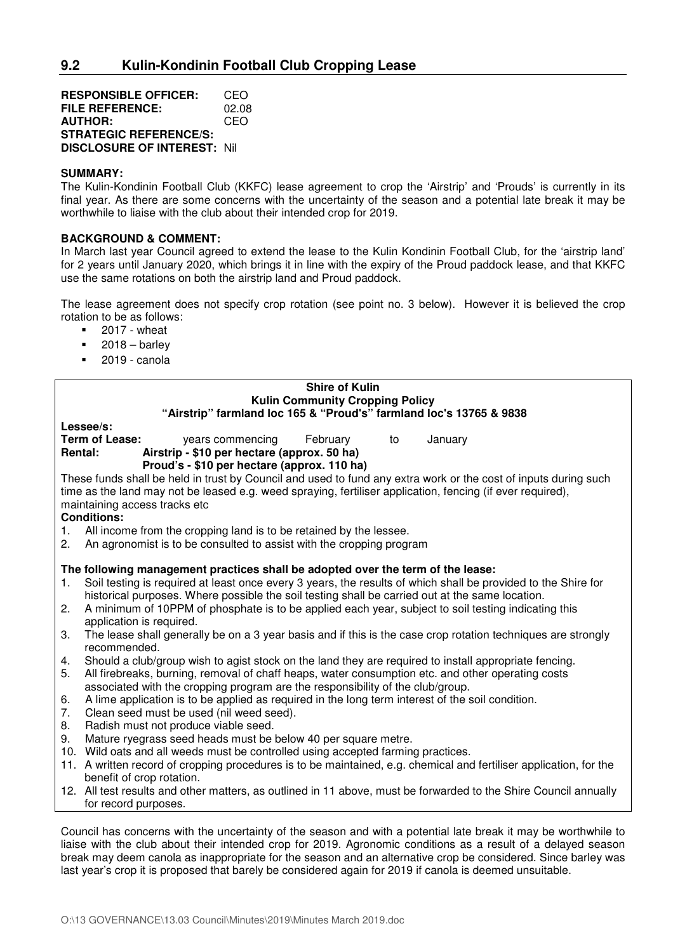**RESPONSIBLE OFFICER:** CEO **FILE REFERENCE:** 02.08 **AUTHOR:** CEO **STRATEGIC REFERENCE/S: DISCLOSURE OF INTEREST:** Nil

#### **SUMMARY:**

The Kulin-Kondinin Football Club (KKFC) lease agreement to crop the 'Airstrip' and 'Prouds' is currently in its final year. As there are some concerns with the uncertainty of the season and a potential late break it may be worthwhile to liaise with the club about their intended crop for 2019.

#### **BACKGROUND & COMMENT:**

In March last year Council agreed to extend the lease to the Kulin Kondinin Football Club, for the 'airstrip land' for 2 years until January 2020, which brings it in line with the expiry of the Proud paddock lease, and that KKFC use the same rotations on both the airstrip land and Proud paddock.

The lease agreement does not specify crop rotation (see point no. 3 below). However it is believed the crop rotation to be as follows:

- $-2017 -$  wheat
- $-2018 \text{barlev}$
- 2019 canola

#### **Shire of Kulin Kulin Community Cropping Policy "Airstrip" farmland loc 165 & "Proud's" farmland loc's 13765 & 9838**

**Lessee/s:**  years commencing February to January **Rental: Airstrip - \$10 per hectare (approx. 50 ha)**

 **Proud's - \$10 per hectare (approx. 110 ha)** 

These funds shall be held in trust by Council and used to fund any extra work or the cost of inputs during such time as the land may not be leased e.g. weed spraying, fertiliser application, fencing (if ever required), maintaining access tracks etc

#### **Conditions:**

- 1. All income from the cropping land is to be retained by the lessee.
- 2. An agronomist is to be consulted to assist with the cropping program

#### **The following management practices shall be adopted over the term of the lease:**

- 1. Soil testing is required at least once every 3 years, the results of which shall be provided to the Shire for historical purposes. Where possible the soil testing shall be carried out at the same location.
- 2. A minimum of 10PPM of phosphate is to be applied each year, subject to soil testing indicating this application is required.
- 3. The lease shall generally be on a 3 year basis and if this is the case crop rotation techniques are strongly recommended.
- 4. Should a club/group wish to agist stock on the land they are required to install appropriate fencing.<br>5. All firebreaks, burning, removal of chaff heaps, water consumption etc, and other operating costs
- All firebreaks, burning, removal of chaff heaps, water consumption etc. and other operating costs associated with the cropping program are the responsibility of the club/group.
- 6. A lime application is to be applied as required in the long term interest of the soil condition.
- 7. Clean seed must be used (nil weed seed).
- 8. Radish must not produce viable seed.
- 9. Mature ryegrass seed heads must be below 40 per square metre.
- 10. Wild oats and all weeds must be controlled using accepted farming practices.
- 11. A written record of cropping procedures is to be maintained, e.g. chemical and fertiliser application, for the benefit of crop rotation.
- 12. All test results and other matters, as outlined in 11 above, must be forwarded to the Shire Council annually for record purposes.

Council has concerns with the uncertainty of the season and with a potential late break it may be worthwhile to liaise with the club about their intended crop for 2019. Agronomic conditions as a result of a delayed season break may deem canola as inappropriate for the season and an alternative crop be considered. Since barley was last year's crop it is proposed that barely be considered again for 2019 if canola is deemed unsuitable.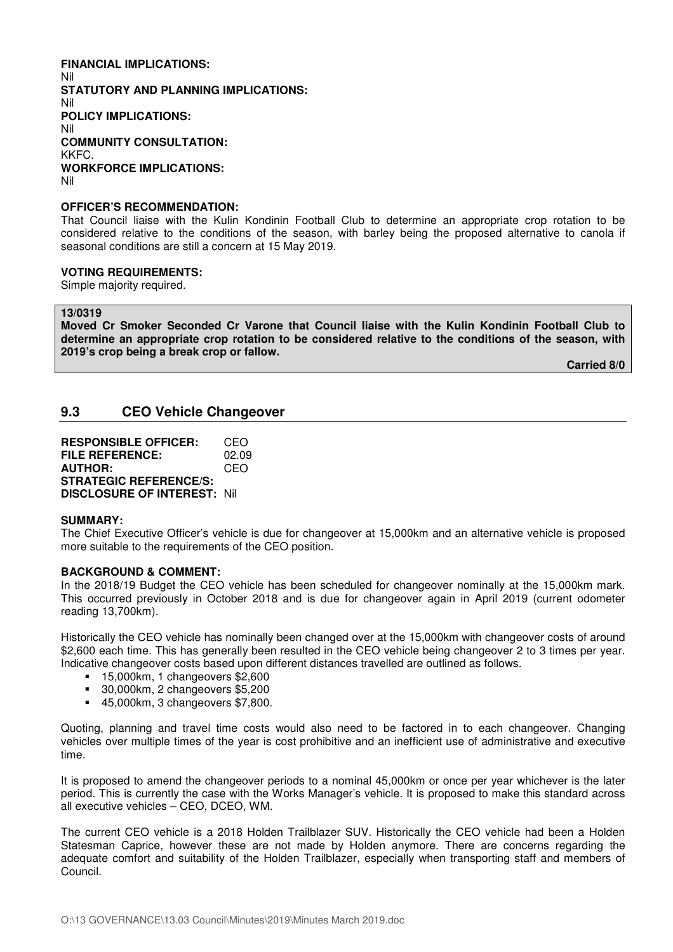#### **FINANCIAL IMPLICATIONS:**  Nil **STATUTORY AND PLANNING IMPLICATIONS:**  Nil **POLICY IMPLICATIONS:**  Nil **COMMUNITY CONSULTATION:**  KKFC. **WORKFORCE IMPLICATIONS:**  Nil

#### **OFFICER'S RECOMMENDATION:**

That Council liaise with the Kulin Kondinin Football Club to determine an appropriate crop rotation to be considered relative to the conditions of the season, with barley being the proposed alternative to canola if seasonal conditions are still a concern at 15 May 2019.

#### **VOTING REQUIREMENTS:**

Simple majority required.

**13/0319** 

**Moved Cr Smoker Seconded Cr Varone that Council liaise with the Kulin Kondinin Football Club to determine an appropriate crop rotation to be considered relative to the conditions of the season, with 2019's crop being a break crop or fallow.** 

**Carried 8/0** 

#### **9.3 CEO Vehicle Changeover**

**RESPONSIBLE OFFICER:** CEO **FILE REFERENCE:** 02.09 **AUTHOR:** CEO **STRATEGIC REFERENCE/S: DISCLOSURE OF INTEREST:** Nil

#### **SUMMARY:**

The Chief Executive Officer's vehicle is due for changeover at 15,000km and an alternative vehicle is proposed more suitable to the requirements of the CEO position.

#### **BACKGROUND & COMMENT:**

In the 2018/19 Budget the CEO vehicle has been scheduled for changeover nominally at the 15,000km mark. This occurred previously in October 2018 and is due for changeover again in April 2019 (current odometer reading 13,700km).

Historically the CEO vehicle has nominally been changed over at the 15,000km with changeover costs of around \$2,600 each time. This has generally been resulted in the CEO vehicle being changeover 2 to 3 times per year. Indicative changeover costs based upon different distances travelled are outlined as follows.

- **15,000km, 1 changeovers \$2,600**
- 30,000km, 2 changeovers \$5,200
- 45,000km, 3 changeovers \$7,800.

Quoting, planning and travel time costs would also need to be factored in to each changeover. Changing vehicles over multiple times of the year is cost prohibitive and an inefficient use of administrative and executive time.

It is proposed to amend the changeover periods to a nominal 45,000km or once per year whichever is the later period. This is currently the case with the Works Manager's vehicle. It is proposed to make this standard across all executive vehicles – CEO, DCEO, WM.

The current CEO vehicle is a 2018 Holden Trailblazer SUV. Historically the CEO vehicle had been a Holden Statesman Caprice, however these are not made by Holden anymore. There are concerns regarding the adequate comfort and suitability of the Holden Trailblazer, especially when transporting staff and members of Council.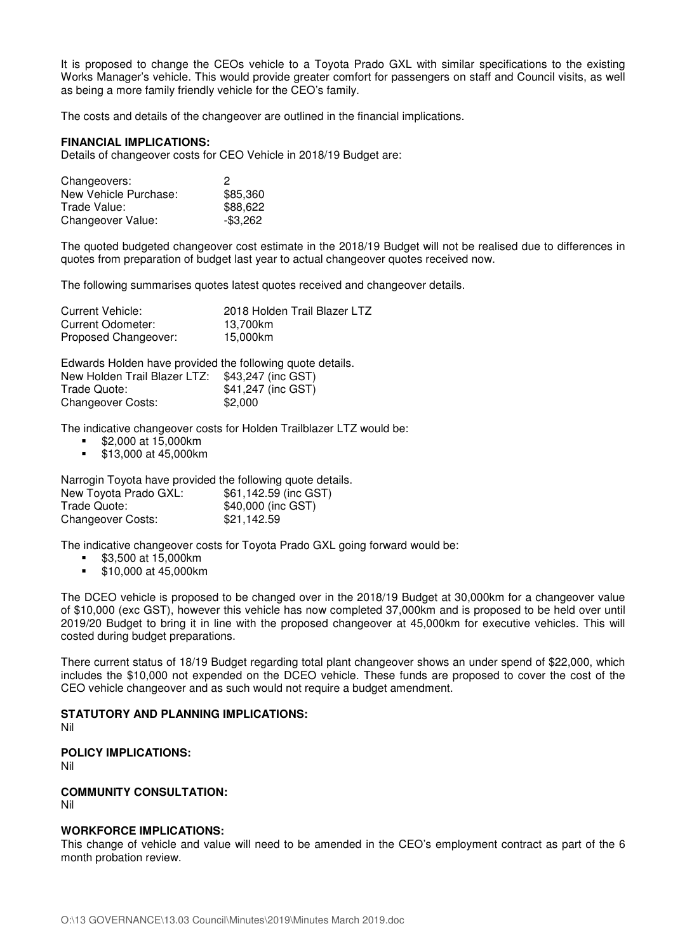It is proposed to change the CEOs vehicle to a Toyota Prado GXL with similar specifications to the existing Works Manager's vehicle. This would provide greater comfort for passengers on staff and Council visits, as well as being a more family friendly vehicle for the CEO's family.

The costs and details of the changeover are outlined in the financial implications.

#### **FINANCIAL IMPLICATIONS:**

Details of changeover costs for CEO Vehicle in 2018/19 Budget are:

| Changeovers:          | 2           |
|-----------------------|-------------|
| New Vehicle Purchase: | \$85,360    |
| Trade Value:          | \$88,622    |
| Changeover Value:     | $-$ \$3,262 |

The quoted budgeted changeover cost estimate in the 2018/19 Budget will not be realised due to differences in quotes from preparation of budget last year to actual changeover quotes received now.

The following summarises quotes latest quotes received and changeover details.

| Current Vehicle:     | 2018 Holden Trail Blazer LTZ |
|----------------------|------------------------------|
| Current Odometer:    | 13.700km                     |
| Proposed Changeover: | 15.000km                     |

Edwards Holden have provided the following quote details. New Holden Trail Blazer LTZ: \$43,247 (inc GST) Trade Quote:  $$41,247$  (inc GST) Changeover Costs: \$2,000

The indicative changeover costs for Holden Trailblazer LTZ would be:

- \$2,000 at 15,000km
- \$13,000 at 45,000km

Narrogin Toyota have provided the following quote details.

| New Toyota Prado GXL:    | \$61,142.59 (inc GST) |
|--------------------------|-----------------------|
| Trade Quote:             | \$40,000 (inc GST)    |
| <b>Changeover Costs:</b> | \$21,142.59           |

The indicative changeover costs for Toyota Prado GXL going forward would be:

- **\$3,500 at 15,000km**
- \$10,000 at 45,000km

The DCEO vehicle is proposed to be changed over in the 2018/19 Budget at 30,000km for a changeover value of \$10,000 (exc GST), however this vehicle has now completed 37,000km and is proposed to be held over until 2019/20 Budget to bring it in line with the proposed changeover at 45,000km for executive vehicles. This will costed during budget preparations.

There current status of 18/19 Budget regarding total plant changeover shows an under spend of \$22,000, which includes the \$10,000 not expended on the DCEO vehicle. These funds are proposed to cover the cost of the CEO vehicle changeover and as such would not require a budget amendment.

#### **STATUTORY AND PLANNING IMPLICATIONS:**

Nil

**POLICY IMPLICATIONS:** 

Nil

#### **COMMUNITY CONSULTATION:**

Nil

#### **WORKFORCE IMPLICATIONS:**

This change of vehicle and value will need to be amended in the CEO's employment contract as part of the 6 month probation review.